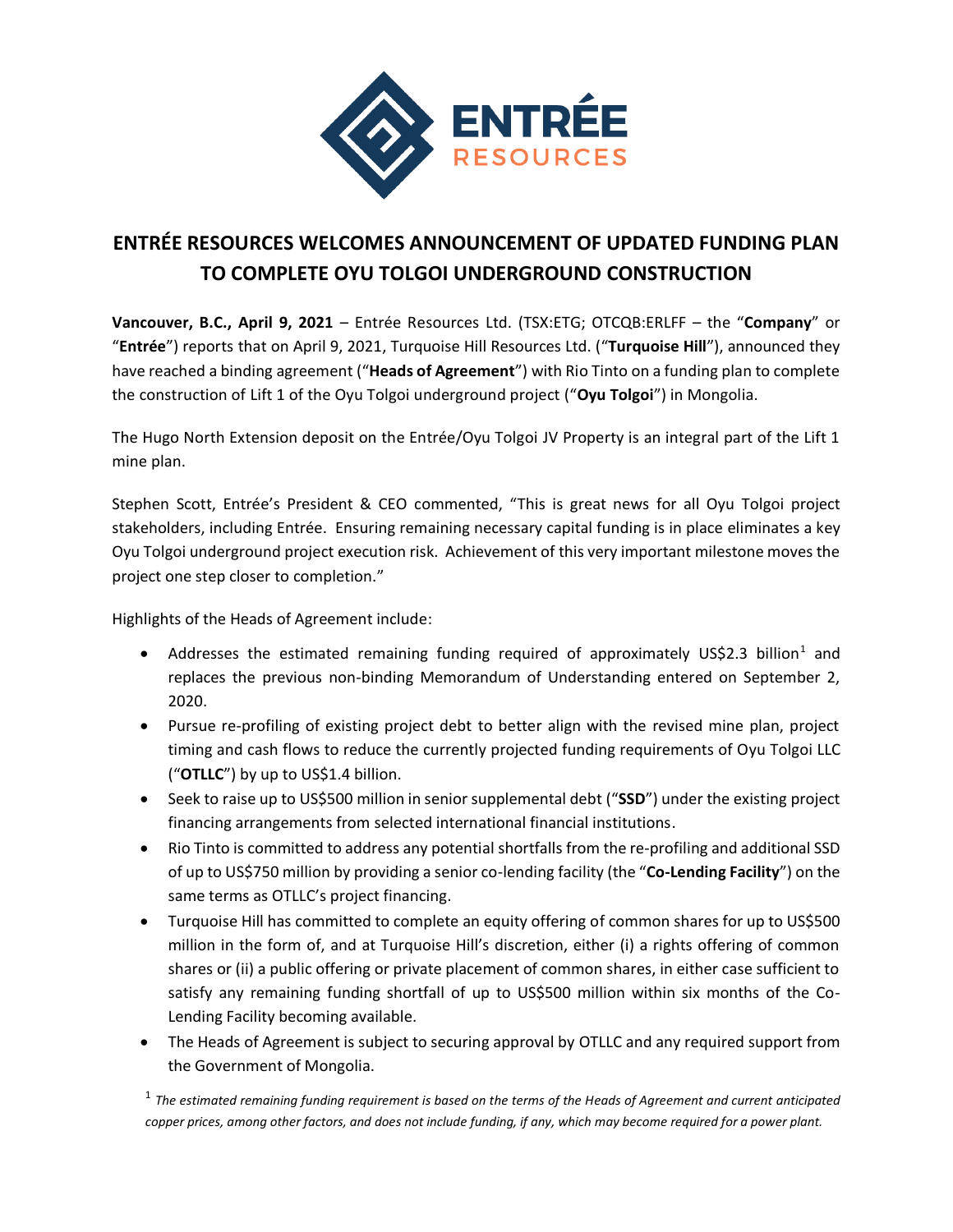

## **ENTRÉE RESOURCES WELCOMES ANNOUNCEMENT OF UPDATED FUNDING PLAN TO COMPLETE OYU TOLGOI UNDERGROUND CONSTRUCTION**

**Vancouver, B.C., April 9, 2021** – Entrée Resources Ltd. (TSX:ETG; OTCQB:ERLFF – the "**Company**" or "**Entrée**") reports that on April 9, 2021, Turquoise Hill Resources Ltd. ("**Turquoise Hill**"), announced they have reached a binding agreement ("**Heads of Agreement**") with Rio Tinto on a funding plan to complete the construction of Lift 1 of the Oyu Tolgoi underground project ("**Oyu Tolgoi**") in Mongolia.

The Hugo North Extension deposit on the Entrée/Oyu Tolgoi JV Property is an integral part of the Lift 1 mine plan.

Stephen Scott, Entrée's President & CEO commented, "This is great news for all Oyu Tolgoi project stakeholders, including Entrée. Ensuring remaining necessary capital funding is in place eliminates a key Oyu Tolgoi underground project execution risk. Achievement of this very important milestone moves the project one step closer to completion."

Highlights of the Heads of Agreement include:

- Addresses the estimated remaining funding required of approximately US\$2.3 billion<sup>1</sup> and replaces the previous non-binding Memorandum of Understanding entered on September 2, 2020.
- Pursue re-profiling of existing project debt to better align with the revised mine plan, project timing and cash flows to reduce the currently projected funding requirements of Oyu Tolgoi LLC ("**OTLLC**") by up to US\$1.4 billion.
- Seek to raise up to US\$500 million in senior supplemental debt ("**SSD**") under the existing project financing arrangements from selected international financial institutions.
- Rio Tinto is committed to address any potential shortfalls from the re-profiling and additional SSD of up to US\$750 million by providing a senior co-lending facility (the "**Co-Lending Facility**") on the same terms as OTLLC's project financing.
- Turquoise Hill has committed to complete an equity offering of common shares for up to US\$500 million in the form of, and at Turquoise Hill's discretion, either (i) a rights offering of common shares or (ii) a public offering or private placement of common shares, in either case sufficient to satisfy any remaining funding shortfall of up to US\$500 million within six months of the Co-Lending Facility becoming available.
- The Heads of Agreement is subject to securing approval by OTLLC and any required support from the Government of Mongolia.

1 *The estimated remaining funding requirement is based on the terms of the Heads of Agreement and current anticipated copper prices, among other factors, and does not include funding, if any, which may become required for a power plant.*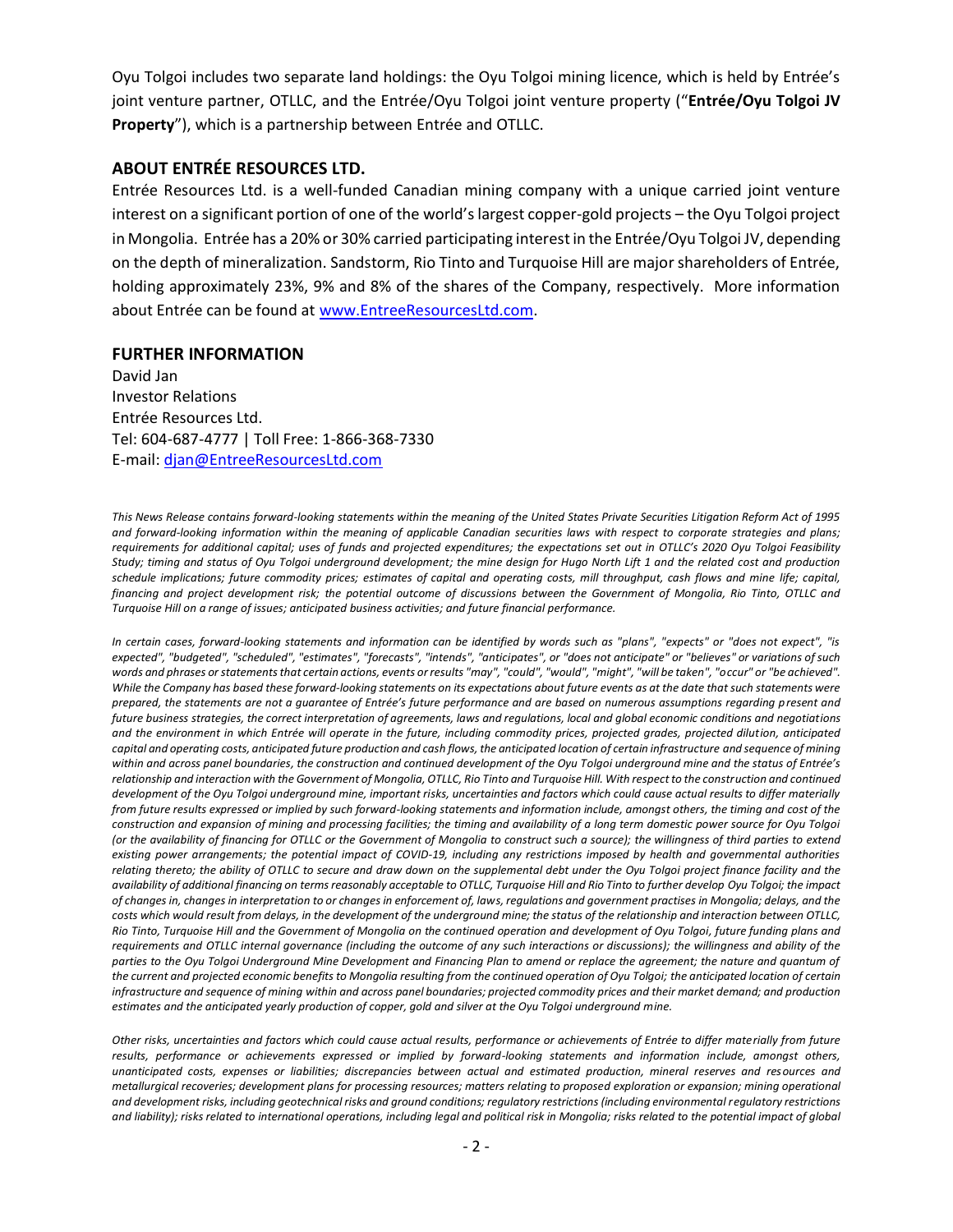Oyu Tolgoi includes two separate land holdings: the Oyu Tolgoi mining licence, which is held by Entrée's joint venture partner, OTLLC, and the Entrée/Oyu Tolgoi joint venture property ("**Entrée/Oyu Tolgoi JV Property**"), which is a partnership between Entrée and OTLLC.

## **ABOUT ENTRÉE RESOURCES LTD.**

Entrée Resources Ltd. is a well-funded Canadian mining company with a unique carried joint venture interest on a significant portion of one of the world's largest copper-gold projects – the Oyu Tolgoi project in Mongolia. Entrée has a 20% or 30% carried participating interest in the Entrée/Oyu Tolgoi JV, depending on the depth of mineralization. Sandstorm, Rio Tinto and Turquoise Hill are major shareholders of Entrée, holding approximately 23%, 9% and 8% of the shares of the Company, respectively. More information about Entrée can be found at [www.EntreeResourcesLtd.com.](http://www.entreeresourcesltd.com/)

## **FURTHER INFORMATION**

David Jan Investor Relations Entrée Resources Ltd. Tel: 604-687-4777 | Toll Free: 1-866-368-7330 E-mail: [djan@EntreeResourcesLtd.com](mailto:djan@EntreeResourcesLtd.com)

*This News Release contains forward-looking statements within the meaning of the United States Private Securities Litigation Reform Act of 1995 and forward-looking information within the meaning of applicable Canadian securities laws with respect to corporate strategies and plans; requirements for additional capital; uses of funds and projected expenditures; the expectations set out in OTLLC's 2020 Oyu Tolgoi Feasibility Study; timing and status of Oyu Tolgoi underground development; the mine design for Hugo North Lift 1 and the related cost and production schedule implications; future commodity prices; estimates of capital and operating costs, mill throughput, cash flows and mine life; capital, financing and project development risk; the potential outcome of discussions between the Government of Mongolia, Rio Tinto, OTLLC and Turquoise Hill on a range of issues; anticipated business activities; and future financial performance.*

*In certain cases, forward-looking statements and information can be identified by words such as "plans", "expects" or "does not expect", "is expected", "budgeted", "scheduled", "estimates", "forecasts", "intends", "anticipates", or "does not anticipate" or "believes" or variations of such words and phrases or statements that certain actions, events or results "may", "could", "would", "might", "will be taken", "occur" or "be achieved". While the Company has based these forward-looking statements on its expectations about future events as at the date that such statements were prepared, the statements are not a guarantee of Entrée's future performance and are based on numerous assumptions regarding present and future business strategies, the correct interpretation of agreements, laws and regulations, local and global economic conditions and negotiations and the environment in which Entrée will operate in the future, including commodity prices, projected grades, projected dilution, anticipated capital and operating costs, anticipated future production and cash flows, the anticipated location of certain infrastructure and sequence of mining* within and across panel boundaries, the construction and continued development of the Oyu Tolgoi underground mine and the status of Entrée's *relationship and interaction with the Government of Mongolia, OTLLC, Rio Tinto and Turquoise Hill. With respect to the construction and continued development of the Oyu Tolgoi underground mine, important risks, uncertainties and factors which could cause actual results to differ materially from future results expressed or implied by such forward-looking statements and information include, amongst others, the timing and cost of the construction and expansion of mining and processing facilities; the timing and availability of a long term domestic power source for Oyu Tolgoi (or the availability of financing for OTLLC or the Government of Mongolia to construct such a source); the willingness of third parties to extend existing power arrangements; the potential impact of COVID-19, including any restrictions imposed by health and governmental authorities relating thereto; the ability of OTLLC to secure and draw down on the supplemental debt under the Oyu Tolgoi project finance facility and the availability of additional financing on terms reasonably acceptable to OTLLC, Turquoise Hill and Rio Tinto to further develop Oyu Tolgoi; the impact of changes in, changes in interpretation to or changes in enforcement of, laws, regulations and government practises in Mongolia; delays, and the costs which would result from delays, in the development of the underground mine; the status of the relationship and interaction between OTLLC, Rio Tinto, Turquoise Hill and the Government of Mongolia on the continued operation and development of Oyu Tolgoi, future funding plans and requirements and OTLLC internal governance (including the outcome of any such interactions or discussions); the willingness and ability of the*  parties to the Oyu Tolgoi Underground Mine Development and Financing Plan to amend or replace the agreement; the nature and quantum of *the current and projected economic benefits to Mongolia resulting from the continued operation of Oyu Tolgoi; the anticipated location of certain infrastructure and sequence of mining within and across panel boundaries; projected commodity prices and their market demand; and production estimates and the anticipated yearly production of copper, gold and silver at the Oyu Tolgoi underground mine.* 

*Other risks, uncertainties and factors which could cause actual results, performance or achievements of Entrée to differ materially from future results, performance or achievements expressed or implied by forward-looking statements and information include, amongst others, unanticipated costs, expenses or liabilities; discrepancies between actual and estimated production, mineral reserves and resources and metallurgical recoveries; development plans for processing resources; matters relating to proposed exploration or expansion; mining operational and development risks, including geotechnical risks and ground conditions; regulatory restrictions (including environmental regulatory restrictions and liability); risks related to international operations, including legal and political risk in Mongolia; risks related to the potential impact of global*